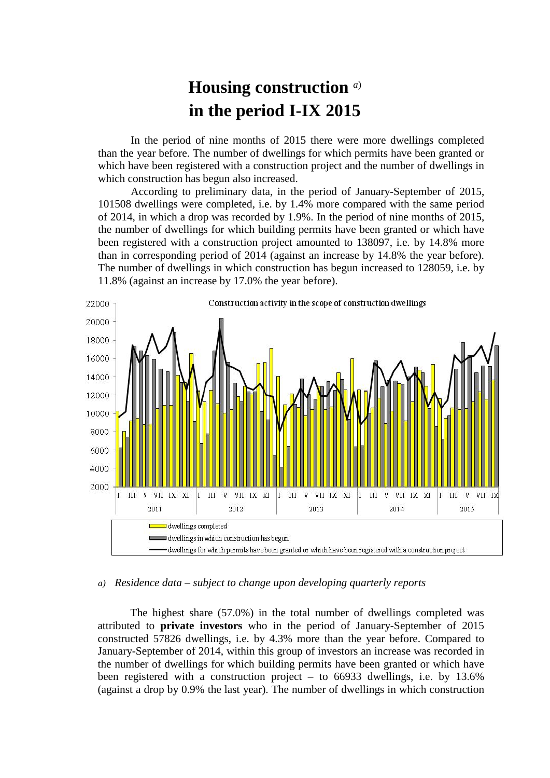## **Housing construction** *<sup>a</sup>*) **in the period I-IX 2015**

In the period of nine months of 2015 there were more dwellings completed than the year before. The number of dwellings for which permits have been granted or which have been registered with a construction project and the number of dwellings in which construction has begun also increased.

According to preliminary data, in the period of January-September of 2015, 101508 dwellings were completed, i.e. by 1.4% more compared with the same period of 2014, in which a drop was recorded by 1.9%. In the period of nine months of 2015, the number of dwellings for which building permits have been granted or which have been registered with a construction project amounted to 138097, i.e. by 14.8% more than in corresponding period of 2014 (against an increase by 14.8% the year before). The number of dwellings in which construction has begun increased to 128059, i.e. by 11.8% (against an increase by 17.0% the year before).



## *a) Residence data – subject to change upon developing quarterly reports*

The highest share (57.0%) in the total number of dwellings completed was attributed to **private investors** who in the period of January-September of 2015 constructed 57826 dwellings, i.e. by 4.3% more than the year before. Compared to January-September of 2014, within this group of investors an increase was recorded in the number of dwellings for which building permits have been granted or which have been registered with a construction project – to 66933 dwellings, i.e. by 13.6% (against a drop by 0.9% the last year). The number of dwellings in which construction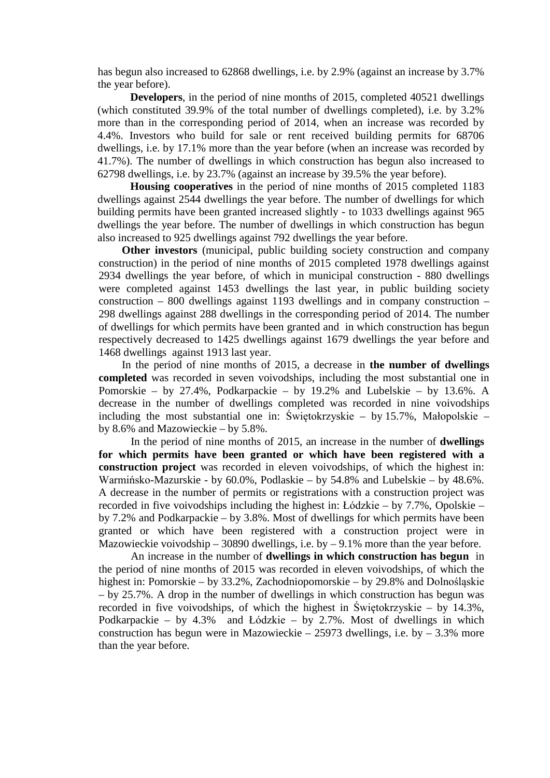has begun also increased to 62868 dwellings, i.e. by 2.9% (against an increase by 3.7% the year before).

**Developers**, in the period of nine months of 2015, completed 40521 dwellings (which constituted 39.9% of the total number of dwellings completed), i.e. by 3.2% more than in the corresponding period of 2014, when an increase was recorded by 4.4%. Investors who build for sale or rent received building permits for 68706 dwellings, i.e. by 17.1% more than the year before (when an increase was recorded by 41.7%). The number of dwellings in which construction has begun also increased to 62798 dwellings, i.e. by 23.7% (against an increase by 39.5% the year before).

**Housing cooperatives** in the period of nine months of 2015 completed 1183 dwellings against 2544 dwellings the year before. The number of dwellings for which building permits have been granted increased slightly - to 1033 dwellings against 965 dwellings the year before. The number of dwellings in which construction has begun also increased to 925 dwellings against 792 dwellings the year before.

**Other investors** (municipal, public building society construction and company construction) in the period of nine months of 2015 completed 1978 dwellings against 2934 dwellings the year before, of which in municipal construction - 880 dwellings were completed against 1453 dwellings the last year, in public building society construction – 800 dwellings against 1193 dwellings and in company construction – 298 dwellings against 288 dwellings in the corresponding period of 2014. The number of dwellings for which permits have been granted and in which construction has begun respectively decreased to 1425 dwellings against 1679 dwellings the year before and 1468 dwellings against 1913 last year.

In the period of nine months of 2015, a decrease in **the number of dwellings completed** was recorded in seven voivodships, including the most substantial one in Pomorskie – by 27.4%, Podkarpackie – by 19.2% and Lubelskie – by 13.6%. A decrease in the number of dwellings completed was recorded in nine voivodships including the most substantial one in: Świętokrzyskie – by 15.7%, Małopolskie – by 8.6% and Mazowieckie – by 5.8%.

In the period of nine months of 2015, an increase in the number of **dwellings for which permits have been granted or which have been registered with a construction project** was recorded in eleven voivodships, of which the highest in: Warmińsko-Mazurskie - by 60.0%, Podlaskie – by 54.8% and Lubelskie – by 48.6%. A decrease in the number of permits or registrations with a construction project was recorded in five voivodships including the highest in: Łódzkie – by 7.7%, Opolskie – by 7.2% and Podkarpackie – by 3.8%. Most of dwellings for which permits have been granted or which have been registered with a construction project were in Mazowieckie voivodship – 30890 dwellings, i.e. by – 9.1% more than the year before.

An increase in the number of **dwellings in which construction has begun** in the period of nine months of 2015 was recorded in eleven voivodships, of which the highest in: Pomorskie – by 33.2%, Zachodniopomorskie – by 29.8% and Dolnośląskie – by 25.7%. A drop in the number of dwellings in which construction has begun was recorded in five voivodships, of which the highest in Świętokrzyskie – by 14.3%, Podkarpackie – by 4.3% and Łódzkie – by 2.7%. Most of dwellings in which construction has begun were in Mazowieckie – 25973 dwellings, i.e. by – 3.3% more than the year before.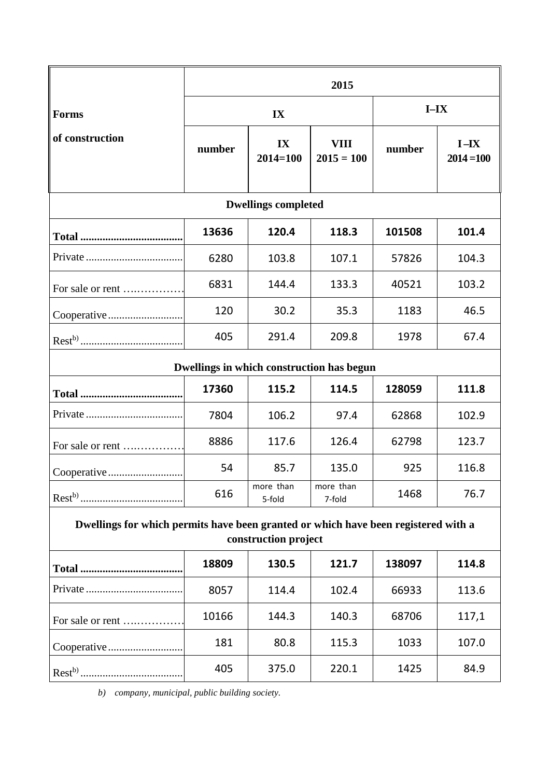|                                                                                                            | 2015   |                     |                                           |        |                          |  |  |  |  |
|------------------------------------------------------------------------------------------------------------|--------|---------------------|-------------------------------------------|--------|--------------------------|--|--|--|--|
| <b>Forms</b>                                                                                               |        | IX                  | $I-IX$                                    |        |                          |  |  |  |  |
| of construction                                                                                            | number | IX<br>$2014 = 100$  | <b>VIII</b><br>$2015 = 100$               | number | $I - IX$<br>$2014 = 100$ |  |  |  |  |
| <b>Dwellings completed</b>                                                                                 |        |                     |                                           |        |                          |  |  |  |  |
|                                                                                                            | 13636  | 120.4               | 118.3                                     | 101508 | 101.4                    |  |  |  |  |
|                                                                                                            | 6280   | 103.8               | 107.1                                     | 57826  | 104.3                    |  |  |  |  |
| For sale or rent                                                                                           | 6831   | 144.4               | 133.3                                     | 40521  | 103.2                    |  |  |  |  |
| Cooperative                                                                                                | 120    | 30.2                | 35.3                                      | 1183   | 46.5                     |  |  |  |  |
|                                                                                                            | 405    | 291.4               | 209.8                                     | 1978   | 67.4                     |  |  |  |  |
|                                                                                                            |        |                     | Dwellings in which construction has begun |        |                          |  |  |  |  |
|                                                                                                            | 17360  | 115.2               | 114.5                                     | 128059 | 111.8                    |  |  |  |  |
|                                                                                                            | 7804   | 106.2               | 97.4                                      | 62868  | 102.9                    |  |  |  |  |
| For sale or rent                                                                                           | 8886   | 117.6               | 126.4                                     | 62798  | 123.7                    |  |  |  |  |
| Cooperative                                                                                                | 54     | 85.7                | 135.0                                     | 925    | 116.8                    |  |  |  |  |
|                                                                                                            | 616    | more than<br>5-fold | more than<br>7-fold                       | 1468   | 76.7                     |  |  |  |  |
| Dwellings for which permits have been granted or which have been registered with a<br>construction project |        |                     |                                           |        |                          |  |  |  |  |
|                                                                                                            | 18809  | 130.5               | 121.7                                     | 138097 | 114.8                    |  |  |  |  |
|                                                                                                            | 8057   | 114.4               | 102.4                                     | 66933  | 113.6                    |  |  |  |  |

|             | 181 | 80.8  | 115.3 | 1033 | 107.0 |
|-------------|-----|-------|-------|------|-------|
| $Rest^{b)}$ | 405 | 375.0 | 220.1 | 1425 | 84.9  |

For sale or rent ….…………… 10166 144.3 140.3 68706 117,1

*b) company, municipal, public building society.*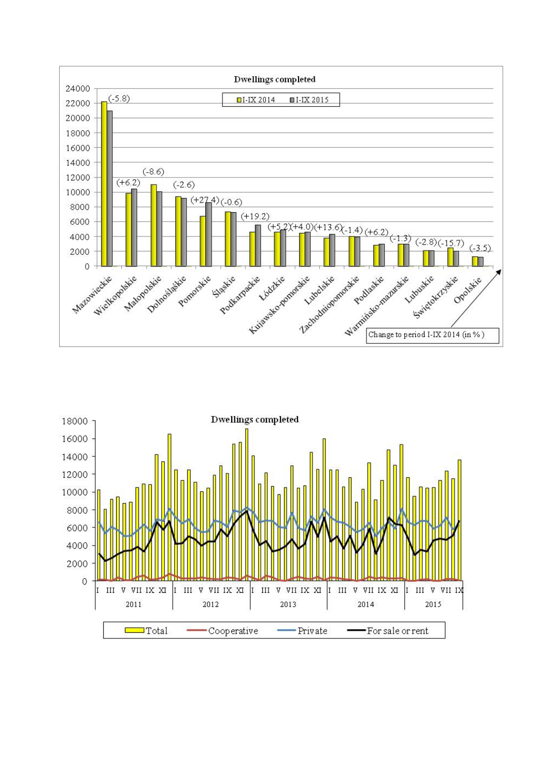